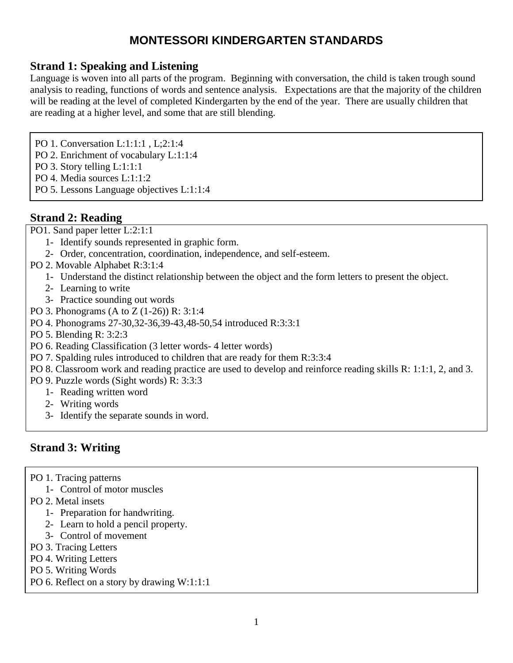#### **Strand 1: Speaking and Listening**

Language is woven into all parts of the program. Beginning with conversation, the child is taken trough sound analysis to reading, functions of words and sentence analysis. Expectations are that the majority of the children will be reading at the level of completed Kindergarten by the end of the year. There are usually children that are reading at a higher level, and some that are still blending.

PO 1. Conversation L:1:1:1 , L;2:1:4

- PO 2. Enrichment of vocabulary L:1:1:4
- PO 3. Story telling L:1:1:1
- PO 4. Media sources L:1:1:2
- PO 5. Lessons Language objectives L:1:1:4

#### **Strand 2: Reading**

PO1. Sand paper letter L:2:1:1

- 1- Identify sounds represented in graphic form.
- 2- Order, concentration, coordination, independence, and self-esteem.
- PO 2. Movable Alphabet R:3:1:4
	- 1- Understand the distinct relationship between the object and the form letters to present the object.
	- 2- Learning to write
	- 3- Practice sounding out words
- PO 3. Phonograms (A to Z (1-26)) R: 3:1:4
- PO 4. Phonograms 27-30,32-36,39-43,48-50,54 introduced R:3:3:1
- PO 5. Blending R: 3:2:3
- PO 6. Reading Classification (3 letter words- 4 letter words)
- PO 7. Spalding rules introduced to children that are ready for them R:3:3:4
- PO 8. Classroom work and reading practice are used to develop and reinforce reading skills R: 1:1:1, 2, and 3.
- PO 9. Puzzle words (Sight words) R: 3:3:3
	- 1- Reading written word
	- 2- Writing words
	- 3- Identify the separate sounds in word.

#### **Strand 3: Writing**

- PO 1. Tracing patterns
	- 1- Control of motor muscles
- PO 2. Metal insets
	- 1- Preparation for handwriting.
	- 2- Learn to hold a pencil property.
	- 3- Control of movement
- PO 3. Tracing Letters
- PO 4. Writing Letters
- PO 5. Writing Words
- PO 6. Reflect on a story by drawing W:1:1:1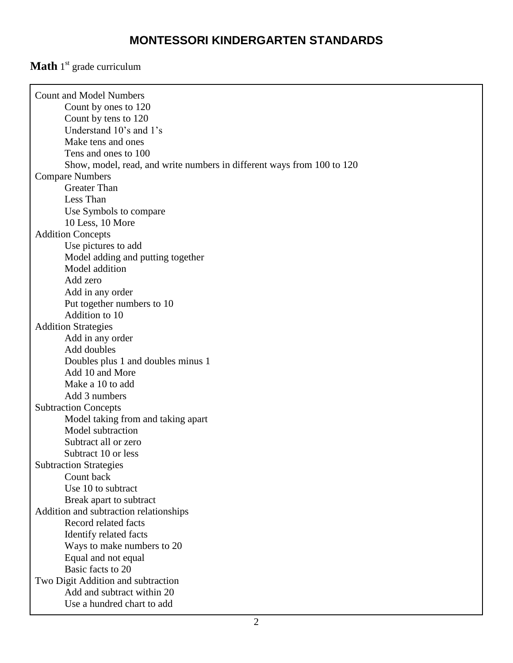#### **Math** 1<sup>st</sup> grade curriculum

| <b>Count and Model Numbers</b>                                         |  |
|------------------------------------------------------------------------|--|
| Count by ones to 120                                                   |  |
| Count by tens to 120                                                   |  |
| Understand 10's and 1's                                                |  |
| Make tens and ones                                                     |  |
| Tens and ones to 100                                                   |  |
| Show, model, read, and write numbers in different ways from 100 to 120 |  |
| <b>Compare Numbers</b>                                                 |  |
| <b>Greater Than</b>                                                    |  |
| Less Than                                                              |  |
| Use Symbols to compare                                                 |  |
| 10 Less, 10 More                                                       |  |
| <b>Addition Concepts</b>                                               |  |
| Use pictures to add                                                    |  |
| Model adding and putting together                                      |  |
| Model addition                                                         |  |
| Add zero                                                               |  |
| Add in any order                                                       |  |
| Put together numbers to 10                                             |  |
| Addition to 10                                                         |  |
| <b>Addition Strategies</b>                                             |  |
| Add in any order                                                       |  |
| Add doubles                                                            |  |
| Doubles plus 1 and doubles minus 1                                     |  |
| Add 10 and More                                                        |  |
| Make a 10 to add                                                       |  |
| Add 3 numbers                                                          |  |
| <b>Subtraction Concepts</b>                                            |  |
| Model taking from and taking apart                                     |  |
| Model subtraction                                                      |  |
| Subtract all or zero                                                   |  |
| Subtract 10 or less                                                    |  |
| <b>Subtraction Strategies</b>                                          |  |
| Count back                                                             |  |
| Use 10 to subtract                                                     |  |
| Break apart to subtract                                                |  |
| Addition and subtraction relationships                                 |  |
| Record related facts                                                   |  |
| Identify related facts                                                 |  |
| Ways to make numbers to 20                                             |  |
| Equal and not equal                                                    |  |
| Basic facts to 20                                                      |  |
| Two Digit Addition and subtraction                                     |  |
| Add and subtract within 20                                             |  |
| Use a hundred chart to add                                             |  |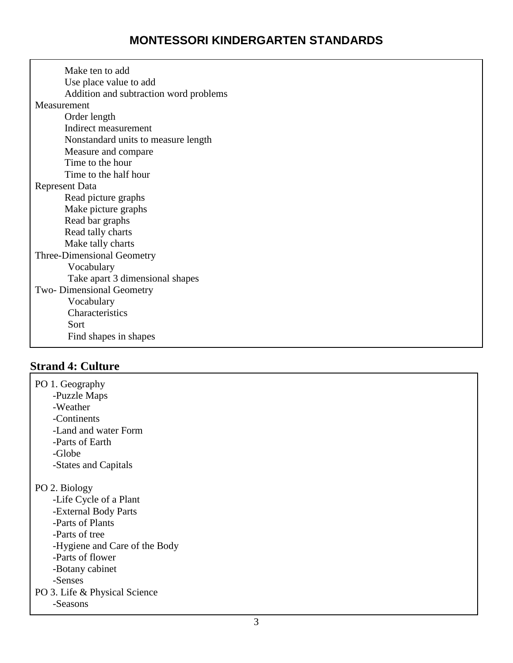| Make ten to add                        |
|----------------------------------------|
| Use place value to add                 |
| Addition and subtraction word problems |
| Measurement                            |
| Order length                           |
| Indirect measurement                   |
| Nonstandard units to measure length    |
| Measure and compare                    |
| Time to the hour                       |
| Time to the half hour                  |
| <b>Represent Data</b>                  |
| Read picture graphs                    |
| Make picture graphs                    |
| Read bar graphs                        |
| Read tally charts                      |
| Make tally charts                      |
| Three-Dimensional Geometry             |
| Vocabulary                             |
| Take apart 3 dimensional shapes        |
| Two-Dimensional Geometry               |
| Vocabulary                             |
| Characteristics                        |
| Sort                                   |
| Find shapes in shapes                  |

## **Strand 4: Culture**

PO 1. Geography -Puzzle Maps -Weather -Continents -Land and water Form -Parts of Earth -Globe -States and Capitals PO 2. Biology -Life Cycle of a Plant -External Body Parts -Parts of Plants -Parts of tree -Hygiene and Care of the Body -Parts of flower -Botany cabinet -Senses PO 3. Life & Physical Science -Seasons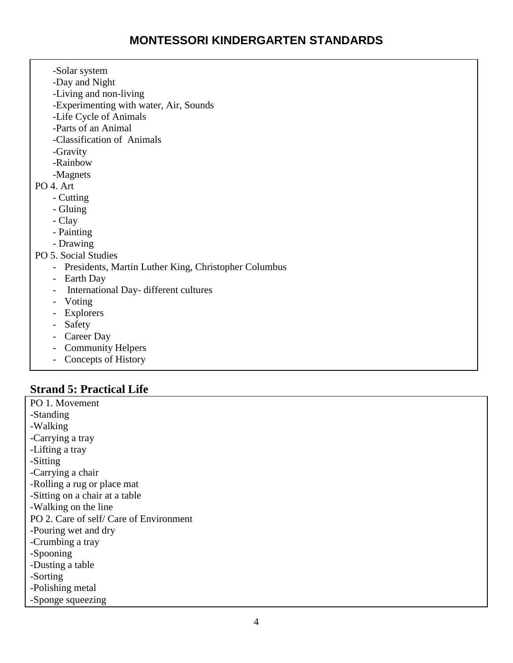| -Solar system                                        |
|------------------------------------------------------|
| -Day and Night                                       |
| -Living and non-living                               |
| -Experimenting with water, Air, Sounds               |
| -Life Cycle of Animals                               |
| -Parts of an Animal                                  |
| -Classification of Animals                           |
| -Gravity                                             |
| -Rainbow                                             |
| -Magnets                                             |
| PO 4. Art                                            |
| - Cutting                                            |
| - Gluing                                             |
| - Clay                                               |
| - Painting                                           |
| - Drawing                                            |
| PO 5. Social Studies                                 |
| Presidents, Martin Luther King, Christopher Columbus |
| Earth Day<br>$\overline{\phantom{0}}$                |
| International Day- different cultures                |
| Voting                                               |
| Explorers<br>$\overline{\phantom{0}}$                |
| - Safety                                             |
| Career Day                                           |
| <b>Community Helpers</b>                             |
| Concepts of History                                  |
|                                                      |

## **Strand 5: Practical Life**

PO 1. Movement -Standing -Walking -Carrying a tray -Lifting a tray -Sitting -Carrying a chair -Rolling a rug or place mat -Sitting on a chair at a table -Walking on the line PO 2. Care of self/ Care of Environment -Pouring wet and dry -Crumbing a tray -Spooning -Dusting a table -Sorting -Polishing metal -Sponge squeezing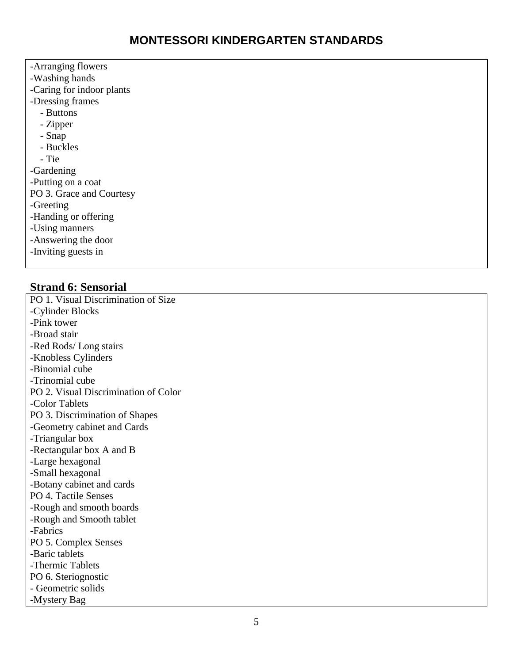-Arranging flowers -Washing hands -Caring for indoor plants -Dressing frames - Buttons - Zipper - Snap - Buckles - Tie -Gardening -Putting on a coat PO 3. Grace and Courtesy -Greeting -Handing or offering -Using manners -Answering the door -Inviting guests in

#### **Strand 6: Sensorial**

PO 1. Visual Discrimination of Size -Cylinder Blocks -Pink tower -Broad stair -Red Rods/ Long stairs -Knobless Cylinders -Binomial cube -Trinomial cube PO 2. Visual Discrimination of Color -Color Tablets PO 3. Discrimination of Shapes -Geometry cabinet and Cards -Triangular box -Rectangular box A and B -Large hexagonal -Small hexagonal -Botany cabinet and cards PO 4. Tactile Senses -Rough and smooth boards -Rough and Smooth tablet -Fabrics PO 5. Complex Senses -Baric tablets -Thermic Tablets PO 6. Steriognostic - Geometric solids -Mystery Bag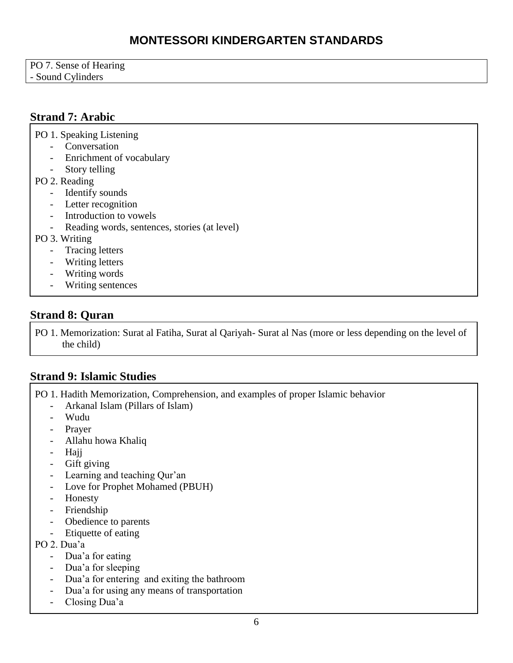| PO 7. Sense of Hearing |  |
|------------------------|--|
| - Sound Cylinders      |  |

## **Strand 7: Arabic**

PO 1. Speaking Listening

- Conversation
- Enrichment of vocabulary
- Story telling
- PO 2. Reading
	- Identify sounds
	- Letter recognition
	- Introduction to vowels
	- Reading words, sentences, stories (at level)
- PO 3. Writing
	- Tracing letters
	- Writing letters
	- Writing words
	- Writing sentences

#### **Strand 8: Quran**

PO 1. Memorization: Surat al Fatiha, Surat al Qariyah- Surat al Nas (more or less depending on the level of the child)

## **Strand 9: Islamic Studies**

PO 1. Hadith Memorization, Comprehension, and examples of proper Islamic behavior

- Arkanal Islam (Pillars of Islam)
- Wudu
- Prayer
- Allahu howa Khaliq
- Hajj
- Gift giving
- Learning and teaching Qur'an
- Love for Prophet Mohamed (PBUH)
- Honesty
- Friendship
- Obedience to parents
- Etiquette of eating
- PO 2. Dua'a
	- Dua'a for eating
	- Dua'a for sleeping
	- Dua'a for entering and exiting the bathroom
	- Dua'a for using any means of transportation
	- Closing Dua'a